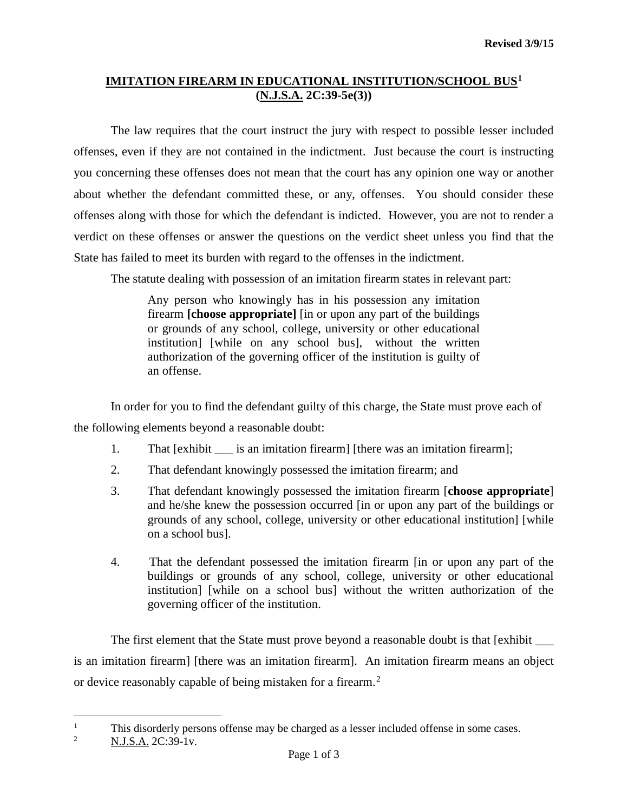# **IMITATION FIREARM IN EDUCATIONAL INSTITUTION/SCHOOL BUS[1](#page-0-0) (N.J.S.A. 2C:39-5e(3))**

The law requires that the court instruct the jury with respect to possible lesser included offenses, even if they are not contained in the indictment. Just because the court is instructing you concerning these offenses does not mean that the court has any opinion one way or another about whether the defendant committed these, or any, offenses. You should consider these offenses along with those for which the defendant is indicted. However, you are not to render a verdict on these offenses or answer the questions on the verdict sheet unless you find that the State has failed to meet its burden with regard to the offenses in the indictment.

The statute dealing with possession of an imitation firearm states in relevant part:

Any person who knowingly has in his possession any imitation firearm **[choose appropriate]** [in or upon any part of the buildings or grounds of any school, college, university or other educational institution] [while on any school bus], without the written authorization of the governing officer of the institution is guilty of an offense.

In order for you to find the defendant guilty of this charge, the State must prove each of the following elements beyond a reasonable doubt:

- 1. That [exhibit is an imitation firearm] [there was an imitation firearm];
- 2. That defendant knowingly possessed the imitation firearm; and
- 3. That defendant knowingly possessed the imitation firearm [**choose appropriate**] and he/she knew the possession occurred [in or upon any part of the buildings or grounds of any school, college, university or other educational institution] [while on a school bus].
- 4. That the defendant possessed the imitation firearm [in or upon any part of the buildings or grounds of any school, college, university or other educational institution] [while on a school bus] without the written authorization of the governing officer of the institution.

The first element that the State must prove beyond a reasonable doubt is that [exhibit \_\_\_\_\_\_ is an imitation firearm] [there was an imitation firearm]. An imitation firearm means an object or device reasonably capable of being mistaken for a firearm.<sup>[2](#page-0-1)</sup>

<span id="page-0-0"></span> $\frac{1}{1}$ This disorderly persons offense may be charged as a lesser included offense in some cases.<br>  $\frac{2}{\sqrt{N} \cdot 5}$  A 2C:30 Jy

<span id="page-0-1"></span><sup>2</sup> N.J.S.A. 2C:39-1v.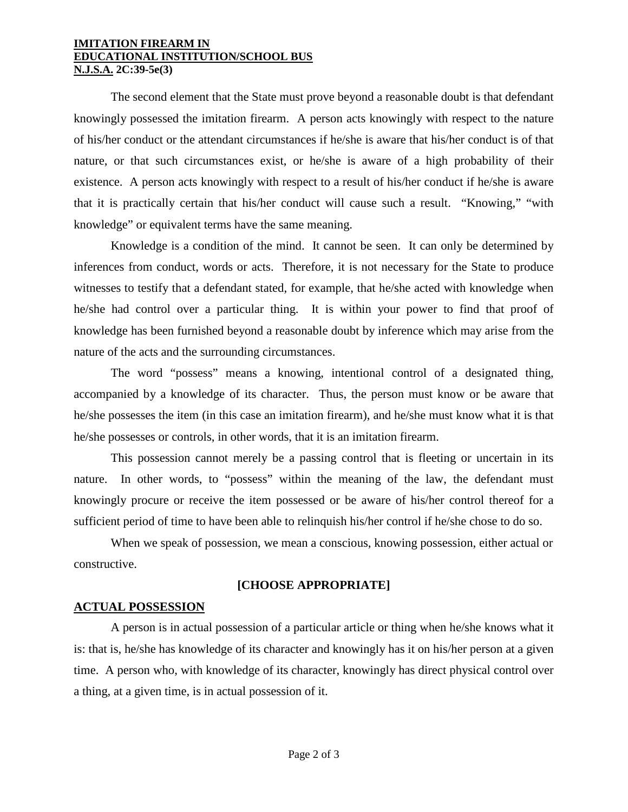#### **IMITATION FIREARM IN EDUCATIONAL INSTITUTION/SCHOOL BUS N.J.S.A. 2C:39-5e(3)**

The second element that the State must prove beyond a reasonable doubt is that defendant knowingly possessed the imitation firearm. A person acts knowingly with respect to the nature of his/her conduct or the attendant circumstances if he/she is aware that his/her conduct is of that nature, or that such circumstances exist, or he/she is aware of a high probability of their existence. A person acts knowingly with respect to a result of his/her conduct if he/she is aware that it is practically certain that his/her conduct will cause such a result. "Knowing," "with knowledge" or equivalent terms have the same meaning.

Knowledge is a condition of the mind. It cannot be seen. It can only be determined by inferences from conduct, words or acts. Therefore, it is not necessary for the State to produce witnesses to testify that a defendant stated, for example, that he/she acted with knowledge when he/she had control over a particular thing. It is within your power to find that proof of knowledge has been furnished beyond a reasonable doubt by inference which may arise from the nature of the acts and the surrounding circumstances.

The word "possess" means a knowing, intentional control of a designated thing, accompanied by a knowledge of its character. Thus, the person must know or be aware that he/she possesses the item (in this case an imitation firearm), and he/she must know what it is that he/she possesses or controls, in other words, that it is an imitation firearm.

This possession cannot merely be a passing control that is fleeting or uncertain in its nature. In other words, to "possess" within the meaning of the law, the defendant must knowingly procure or receive the item possessed or be aware of his/her control thereof for a sufficient period of time to have been able to relinquish his/her control if he/she chose to do so.

When we speak of possession, we mean a conscious, knowing possession, either actual or constructive.

## **[CHOOSE APPROPRIATE]**

## **ACTUAL POSSESSION**

A person is in actual possession of a particular article or thing when he/she knows what it is: that is, he/she has knowledge of its character and knowingly has it on his/her person at a given time. A person who, with knowledge of its character, knowingly has direct physical control over a thing, at a given time, is in actual possession of it.